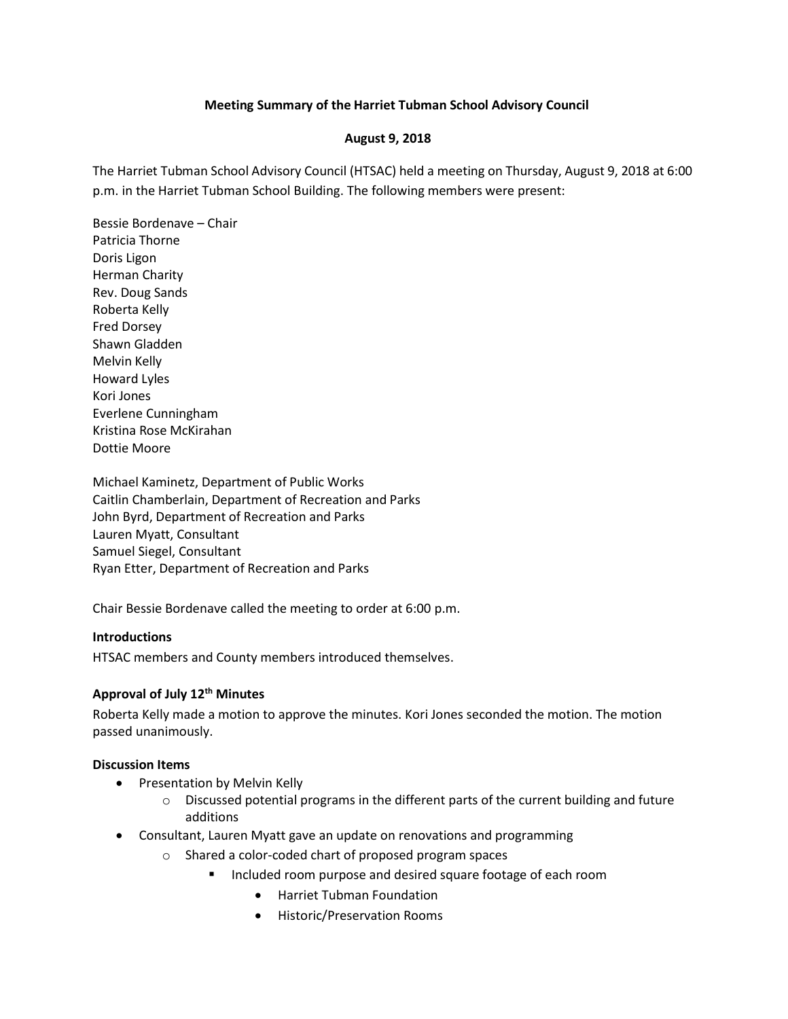## **Meeting Summary of the Harriet Tubman School Advisory Council**

#### **August 9, 2018**

The Harriet Tubman School Advisory Council (HTSAC) held a meeting on Thursday, August 9, 2018 at 6:00 p.m. in the Harriet Tubman School Building. The following members were present:

Bessie Bordenave – Chair Patricia Thorne Doris Ligon Herman Charity Rev. Doug Sands Roberta Kelly Fred Dorsey Shawn Gladden Melvin Kelly Howard Lyles Kori Jones Everlene Cunningham Kristina Rose McKirahan Dottie Moore

Michael Kaminetz, Department of Public Works Caitlin Chamberlain, Department of Recreation and Parks John Byrd, Department of Recreation and Parks Lauren Myatt, Consultant Samuel Siegel, Consultant Ryan Etter, Department of Recreation and Parks

Chair Bessie Bordenave called the meeting to order at 6:00 p.m.

#### **Introductions**

HTSAC members and County members introduced themselves.

## **Approval of July 12th Minutes**

Roberta Kelly made a motion to approve the minutes. Kori Jones seconded the motion. The motion passed unanimously.

#### **Discussion Items**

- Presentation by Melvin Kelly
	- $\circ$  Discussed potential programs in the different parts of the current building and future additions
- Consultant, Lauren Myatt gave an update on renovations and programming
	- o Shared a color-coded chart of proposed program spaces
		- Included room purpose and desired square footage of each room
			- Harriet Tubman Foundation
			- Historic/Preservation Rooms